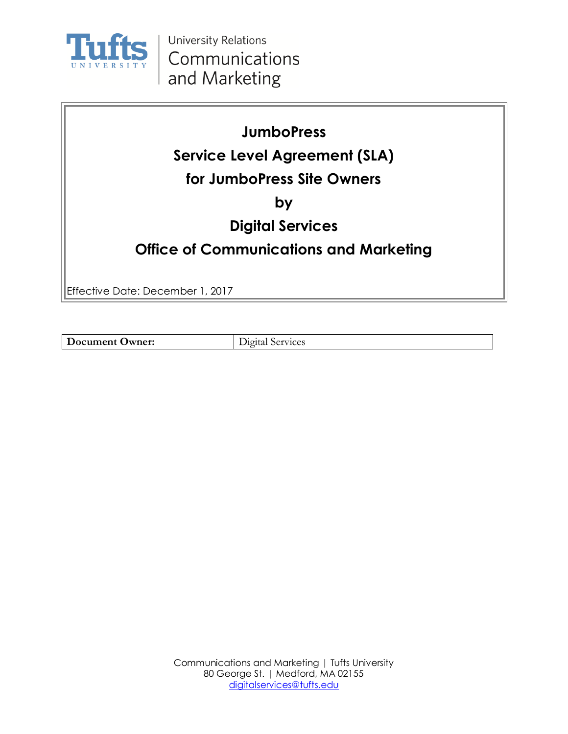

## **JumboPress**

# **Service Level Agreement (SLA)**

## **for JumboPress Site Owners**

**by**

## **Digital Services**

## **Office of Communications and Marketing**

Effective Date: December 1, 2017

**Document Owner:** Digital Services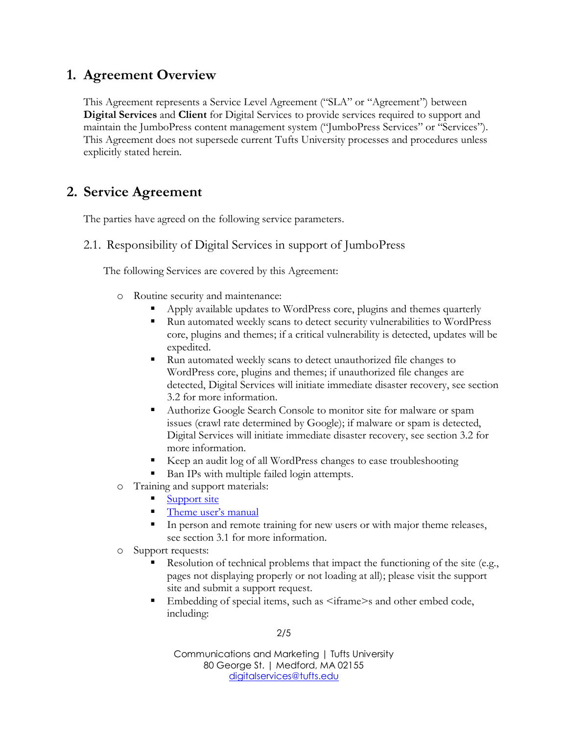### **1. Agreement Overview**

This Agreement represents a Service Level Agreement ("SLA" or "Agreement") between **Digital Services** and **Client** for Digital Services to provide services required to support and maintain the JumboPress content management system ("JumboPress Services" or "Services"). This Agreement does not supersede current Tufts University processes and procedures unless explicitly stated herein.

### **2. Service Agreement**

The parties have agreed on the following service parameters.

#### 2.1. Responsibility of Digital Services in support of JumboPress

The following Services are covered by this Agreement:

- o Routine security and maintenance:
	- Apply available updates to WordPress core, plugins and themes quarterly
	- Run automated weekly scans to detect security vulnerabilities to WordPress core, plugins and themes; if a critical vulnerability is detected, updates will be expedited.
	- Run automated weekly scans to detect unauthorized file changes to WordPress core, plugins and themes; if unauthorized file changes are detected, Digital Services will initiate immediate disaster recovery, see section 3.2 for more information.
	- Authorize Google Search Console to monitor site for malware or spam issues (crawl rate determined by Google); if malware or spam is detected, Digital Services will initiate immediate disaster recovery, see section 3.2 for more information.
	- Keep an audit log of all WordPress changes to ease troubleshooting
	- Ban IPs with multiple failed login attempts.
- o Training and support materials:
	- [Support site](http://jumbopress.tufts.edu/)
	- [Theme user's manual](http://jumbopress.tufts.edu/resources/jumbopress-base-theme/manual/)
	- **IF** In person and remote training for new users or with major theme releases, see section 3.1 for more information.
- o Support requests:
	- Resolution of technical problems that impact the functioning of the site (e.g., pages not displaying properly or not loading at all); please visit the support site and submit a support request.
	- Embedding of special items, such as  $\leq$ iframe>s and other embed code, including:

2/5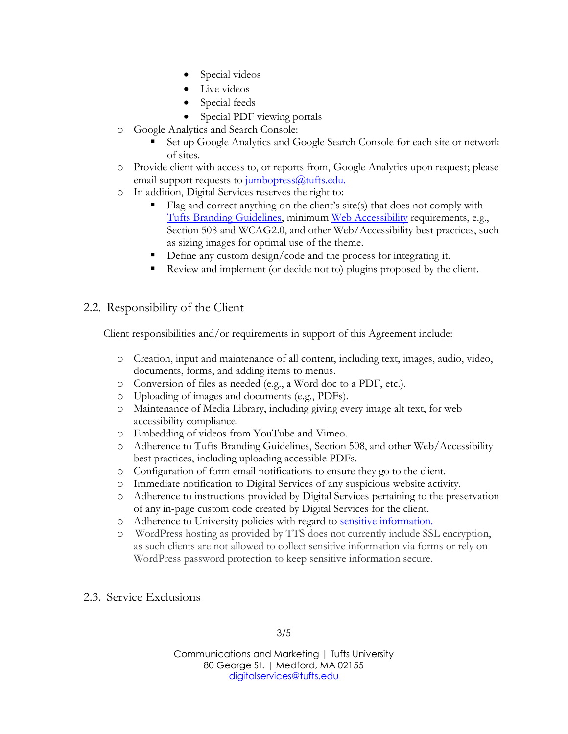- Special videos
- Live videos
- Special feeds
- Special PDF viewing portals
- o Google Analytics and Search Console:
	- Set up Google Analytics and Google Search Console for each site or network of sites.
- o Provide client with access to, or reports from, Google Analytics upon request; please email support requests to  $\frac{\text{imhopress}}{\text{imhop} \cdot \text{mop} \cdot \text{mop} \cdot \text{mop} \cdot \text{mop} \cdot \text{mop} \cdot \text{mop} \cdot \text{mop} \cdot \text{mop} \cdot \text{mop} \cdot \text{mop} \cdot \text{mop} \cdot \text{mop} \cdot \text{mop} \cdot \text{mop} \cdot \text{mop} \cdot \text{mop} \cdot \text{mop} \cdot \text{mop} \cdot \text{mop} \cdot \text{mop} \cdot \text{mop} \cdot \text{mop} \$
- o In addition, Digital Services reserves the right to:
	- Flag and correct anything on the client's site(s) that does not comply with [Tufts Branding Guidelines,](http://communications.tufts.edu/wp-content/uploads/Tufts_Branding_Guidelines.pdf) minimum [Web Accessibility](http://sites.tufts.edu/uxstandards/accessibility/accessibility-guidelines/) requirements, e.g., Section 508 and WCAG2.0, and other Web/Accessibility best practices, such as sizing images for optimal use of the theme.
	- Define any custom design/code and the process for integrating it.
	- Review and implement (or decide not to) plugins proposed by the client.

#### 2.2. Responsibility of the Client

Client responsibilities and/or requirements in support of this Agreement include:

- o Creation, input and maintenance of all content, including text, images, audio, video, documents, forms, and adding items to menus.
- o Conversion of files as needed (e.g., a Word doc to a PDF, etc.).
- o Uploading of images and documents (e.g., PDFs).
- o Maintenance of Media Library, including giving every image alt text, for web accessibility compliance.
- o Embedding of videos from YouTube and Vimeo.
- o Adherence to Tufts Branding Guidelines, Section 508, and other Web/Accessibility best practices, including uploading accessible PDFs.
- o Configuration of form email notifications to ensure they go to the client.
- o Immediate notification to Digital Services of any suspicious website activity.
- o Adherence to instructions provided by Digital Services pertaining to the preservation of any in-page custom code created by Digital Services for the client.
- o Adherence to University policies with regard to [sensitive information.](https://it.tufts.edu/sensitive-info)
- o WordPress hosting as provided by TTS does not currently include SSL encryption, as such clients are not allowed to collect sensitive information via forms or rely on WordPress password protection to keep sensitive information secure.
- 2.3. Service Exclusions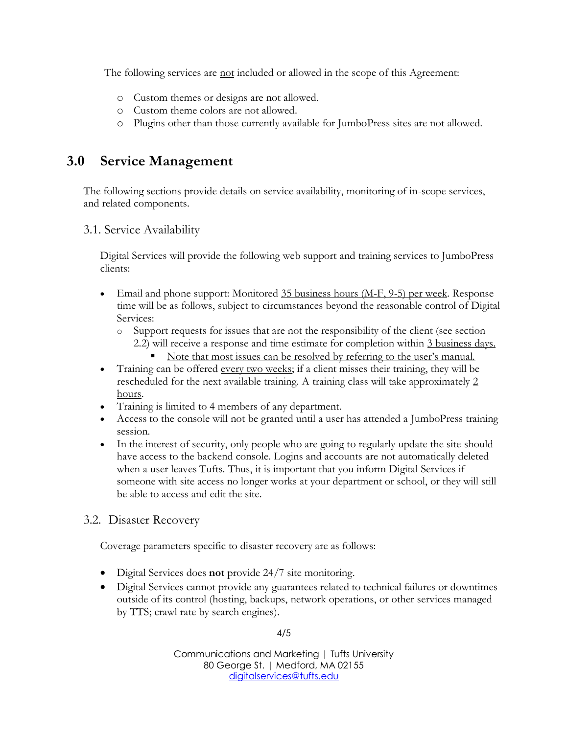The following services are not included or allowed in the scope of this Agreement:

- o Custom themes or designs are not allowed.
- o Custom theme colors are not allowed.
- o Plugins other than those currently available for JumboPress sites are not allowed.

### **3.0 Service Management**

The following sections provide details on service availability, monitoring of in-scope services, and related components.

#### 3.1. Service Availability

Digital Services will provide the following web support and training services to JumboPress clients:

- Email and phone support: Monitored  $35$  business hours (M-F, 9-5) per week. Response time will be as follows, subject to circumstances beyond the reasonable control of Digital Services:
	- o Support requests for issues that are not the responsibility of the client (see section
		- 2.2) will receive a response and time estimate for completion within 3 business days.
			- Note that most issues can be resolved by referring to the user's manual.
- Training can be offered every two weeks; if a client misses their training, they will be rescheduled for the next available training. A training class will take approximately 2 hours.
- Training is limited to 4 members of any department.
- Access to the console will not be granted until a user has attended a JumboPress training session.
- In the interest of security, only people who are going to regularly update the site should have access to the backend console. Logins and accounts are not automatically deleted when a user leaves Tufts. Thus, it is important that you inform Digital Services if someone with site access no longer works at your department or school, or they will still be able to access and edit the site.

#### 3.2. Disaster Recovery

Coverage parameters specific to disaster recovery are as follows:

- Digital Services does **not** provide 24/7 site monitoring.
- Digital Services cannot provide any guarantees related to technical failures or downtimes outside of its control (hosting, backups, network operations, or other services managed by TTS; crawl rate by search engines).

4/5